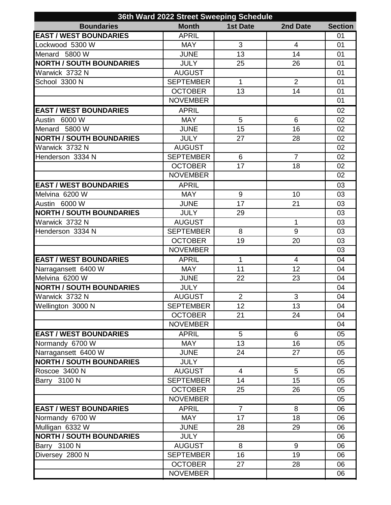|                                 | 36th Ward 2022 Street Sweeping Schedule |                 |                |                |
|---------------------------------|-----------------------------------------|-----------------|----------------|----------------|
| <b>Boundaries</b>               | <b>Month</b>                            | <b>1st Date</b> | 2nd Date       | <b>Section</b> |
| <b>EAST / WEST BOUNDARIES</b>   | <b>APRIL</b>                            |                 |                | 01             |
| Lockwood 5300 W                 | <b>MAY</b>                              | 3               | $\overline{4}$ | 01             |
| Menard 5800 W                   | <b>JUNE</b>                             | 13              | 14             | 01             |
| <b>NORTH / SOUTH BOUNDARIES</b> | <b>JULY</b>                             | 25              | 26             | 01             |
| Warwick 3732 N                  | <b>AUGUST</b>                           |                 |                | 01             |
| School 3300 N                   | <b>SEPTEMBER</b>                        | 1               | $\overline{2}$ | 01             |
|                                 | <b>OCTOBER</b>                          | 13              | 14             | 01             |
|                                 | <b>NOVEMBER</b>                         |                 |                | 01             |
| <b>EAST / WEST BOUNDARIES</b>   | <b>APRIL</b>                            |                 |                | 02             |
| Austin 6000 W                   | <b>MAY</b>                              | 5               | $6\phantom{1}$ | 02             |
| Menard 5800 W                   | <b>JUNE</b>                             | 15              | 16             | 02             |
| <b>NORTH / SOUTH BOUNDARIES</b> | <b>JULY</b>                             | 27              | 28             | 02             |
| Warwick 3732 N                  | <b>AUGUST</b>                           |                 |                | 02             |
| Henderson 3334 N                | <b>SEPTEMBER</b>                        | 6               | $\overline{7}$ | 02             |
|                                 | <b>OCTOBER</b>                          | 17              | 18             | 02             |
|                                 | <b>NOVEMBER</b>                         |                 |                | 02             |
| <b>EAST / WEST BOUNDARIES</b>   | <b>APRIL</b>                            |                 |                | 03             |
| Melvina 6200 W                  | <b>MAY</b>                              | 9               | 10             | 03             |
| Austin 6000 W                   | <b>JUNE</b>                             | 17              | 21             | 03             |
| <b>NORTH / SOUTH BOUNDARIES</b> | <b>JULY</b>                             | 29              |                | 03             |
| Warwick 3732 N                  | <b>AUGUST</b>                           |                 | $\mathbf{1}$   | 03             |
| Henderson 3334 N                | <b>SEPTEMBER</b>                        | 8               | 9              | 03             |
|                                 | <b>OCTOBER</b>                          | 19              | 20             | 03             |
|                                 | <b>NOVEMBER</b>                         |                 |                | 03             |
| <b>EAST / WEST BOUNDARIES</b>   | <b>APRIL</b>                            | 1               | $\overline{4}$ | 04             |
| Narragansett 6400 W             | <b>MAY</b>                              | 11              | 12             | 04             |
| Melvina 6200 W                  | <b>JUNE</b>                             | 22              | 23             | 04             |
| <b>NORTH / SOUTH BOUNDARIES</b> | <b>JULY</b>                             |                 |                | 04             |
| Warwick 3732 N                  | <b>AUGUST</b>                           | 2               | 3              | 04             |
| Wellington 3000 N               | <b>SEPTEMBER</b>                        | 12              | 13             | 04             |
|                                 | <b>OCTOBER</b>                          | 21              | 24             | 04             |
|                                 | <b>NOVEMBER</b>                         |                 |                | 04             |
| <b>EAST / WEST BOUNDARIES</b>   | <b>APRIL</b>                            | 5               | 6              | 05             |
| Normandy 6700 W                 | <b>MAY</b>                              | 13              | 16             | 05             |
| Narragansett 6400 W             | <b>JUNE</b>                             | 24              | 27             | 05             |
| <b>NORTH / SOUTH BOUNDARIES</b> | <b>JULY</b>                             |                 |                | 05             |
| Roscoe 3400 N                   | <b>AUGUST</b>                           | $\overline{4}$  | 5              | 05             |
| Barry 3100 N                    | <b>SEPTEMBER</b>                        | 14              | 15             | 05             |
|                                 | <b>OCTOBER</b>                          | 25              | 26             | 05             |
|                                 | <b>NOVEMBER</b>                         |                 |                | 05             |
| <b>EAST / WEST BOUNDARIES</b>   | <b>APRIL</b>                            | $\overline{7}$  | 8              | 06             |
| Normandy 6700 W                 | <b>MAY</b>                              | 17              | 18             | 06             |
| Mulligan 6332 W                 | <b>JUNE</b>                             | 28              | 29             | 06             |
| <b>NORTH / SOUTH BOUNDARIES</b> | <b>JULY</b>                             |                 |                | 06             |
| Barry 3100 N                    | <b>AUGUST</b>                           | 8               | 9              | 06             |
| Diversey 2800 N                 | <b>SEPTEMBER</b>                        | 16              | 19             | 06             |
|                                 | <b>OCTOBER</b>                          | 27              | 28             | 06             |
|                                 | <b>NOVEMBER</b>                         |                 |                | 06             |
|                                 |                                         |                 |                |                |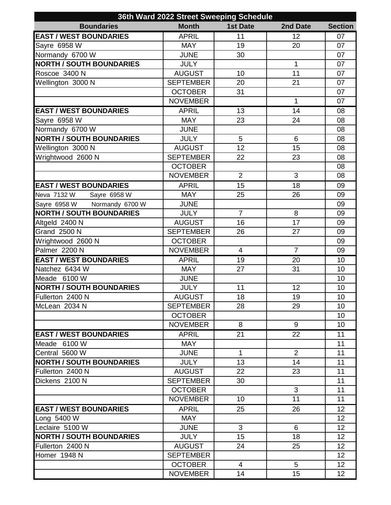| 36th Ward 2022 Street Sweeping Schedule |                  |                 |                |                 |  |  |  |
|-----------------------------------------|------------------|-----------------|----------------|-----------------|--|--|--|
| <b>Boundaries</b>                       | <b>Month</b>     | <b>1st Date</b> | 2nd Date       | <b>Section</b>  |  |  |  |
| <b>EAST / WEST BOUNDARIES</b>           | <b>APRIL</b>     | 11              | 12             | 07              |  |  |  |
| Sayre 6958 W                            | <b>MAY</b>       | 19              | 20             | 07              |  |  |  |
| Normandy 6700 W                         | <b>JUNE</b>      | 30              |                | 07              |  |  |  |
| <b>NORTH / SOUTH BOUNDARIES</b>         | <b>JULY</b>      |                 | 1              | 07              |  |  |  |
| Roscoe 3400 N                           | <b>AUGUST</b>    | 10              | 11             | 07              |  |  |  |
| Wellington 3000 N                       | <b>SEPTEMBER</b> | 20              | 21             | 07              |  |  |  |
|                                         | <b>OCTOBER</b>   | 31              |                | 07              |  |  |  |
|                                         | <b>NOVEMBER</b>  |                 | $\mathbf{1}$   | 07              |  |  |  |
| <b>EAST / WEST BOUNDARIES</b>           | <b>APRIL</b>     | $\overline{13}$ | 14             | 08              |  |  |  |
| Sayre 6958 W                            | <b>MAY</b>       | 23              | 24             | 08              |  |  |  |
| Normandy 6700 W                         | <b>JUNE</b>      |                 |                | 08              |  |  |  |
| <b>NORTH / SOUTH BOUNDARIES</b>         | <b>JULY</b>      | 5               | 6              | 08              |  |  |  |
| Wellington 3000 N                       | <b>AUGUST</b>    | 12              | 15             | 08              |  |  |  |
| Wrightwood 2600 N                       | <b>SEPTEMBER</b> | 22              | 23             | 08              |  |  |  |
|                                         | <b>OCTOBER</b>   |                 |                | 08              |  |  |  |
|                                         | <b>NOVEMBER</b>  | $\overline{2}$  | 3              | 08              |  |  |  |
| <b>EAST / WEST BOUNDARIES</b>           | <b>APRIL</b>     | 15              | 18             | 09              |  |  |  |
| Neva 7132 W<br>Sayre 6958 W             | <b>MAY</b>       | 25              | 26             | 09              |  |  |  |
| Sayre 6958 W Normandy 6700 W            | <b>JUNE</b>      |                 |                | 09              |  |  |  |
| <b>NORTH / SOUTH BOUNDARIES</b>         | <b>JULY</b>      | $\overline{7}$  | 8              | 09              |  |  |  |
| Altgeld 2400 N                          | <b>AUGUST</b>    | 16              | 17             | 09              |  |  |  |
| <b>Grand 2500 N</b>                     | <b>SEPTEMBER</b> | 26              | 27             | 09              |  |  |  |
| Wrightwood 2600 N                       | <b>OCTOBER</b>   |                 |                | 09              |  |  |  |
| Palmer 2200 N                           | <b>NOVEMBER</b>  | $\overline{4}$  | $\overline{7}$ | 09              |  |  |  |
| <b>EAST / WEST BOUNDARIES</b>           | <b>APRIL</b>     | 19              | 20             | 10              |  |  |  |
| Natchez 6434 W                          | <b>MAY</b>       | 27              | 31             | 10              |  |  |  |
| Meade 6100 W                            | <b>JUNE</b>      |                 |                | 10              |  |  |  |
| <b>NORTH / SOUTH BOUNDARIES</b>         | <b>JULY</b>      | 11              | 12             | 10              |  |  |  |
| Fullerton 2400 N                        | <b>AUGUST</b>    | 18              | 19             | 10              |  |  |  |
| McLean 2034 N                           | <b>SEPTEMBER</b> | 28              | 29             | 10              |  |  |  |
|                                         | <b>OCTOBER</b>   |                 |                | 10              |  |  |  |
|                                         | <b>NOVEMBER</b>  | 8               | 9              | 10              |  |  |  |
| <b>EAST / WEST BOUNDARIES</b>           | <b>APRIL</b>     | 21              | 22             | 11              |  |  |  |
| Meade 6100 W                            | <b>MAY</b>       |                 |                | 11              |  |  |  |
| Central 5600 W                          | <b>JUNE</b>      | $\mathbf{1}$    | 2              | 11              |  |  |  |
| <b>NORTH / SOUTH BOUNDARIES</b>         | <b>JULY</b>      | 13              | 14             | 11              |  |  |  |
| Fullerton 2400 N                        | <b>AUGUST</b>    | 22              | 23             | 11              |  |  |  |
| Dickens 2100 N                          | <b>SEPTEMBER</b> | 30              |                | 11              |  |  |  |
|                                         | <b>OCTOBER</b>   |                 | 3              | 11              |  |  |  |
|                                         | <b>NOVEMBER</b>  | 10              | 11             | 11              |  |  |  |
| <b>EAST / WEST BOUNDARIES</b>           | <b>APRIL</b>     | 25              | 26             | 12              |  |  |  |
| Long 5400 W                             | <b>MAY</b>       |                 |                | 12              |  |  |  |
| Leclaire 5100 W                         | <b>JUNE</b>      | 3               | 6              | 12 <sub>2</sub> |  |  |  |
| <b>NORTH / SOUTH BOUNDARIES</b>         | <b>JULY</b>      | 15              | 18             | 12              |  |  |  |
| Fullerton 2400 N                        | <b>AUGUST</b>    | 24              | 25             | 12              |  |  |  |
| Homer 1948 N                            | <b>SEPTEMBER</b> |                 |                | 12 <sub>2</sub> |  |  |  |
|                                         | <b>OCTOBER</b>   | 4               | $\overline{5}$ | 12 <sub>2</sub> |  |  |  |
|                                         | <b>NOVEMBER</b>  | 14              | 15             | 12 <sub>2</sub> |  |  |  |